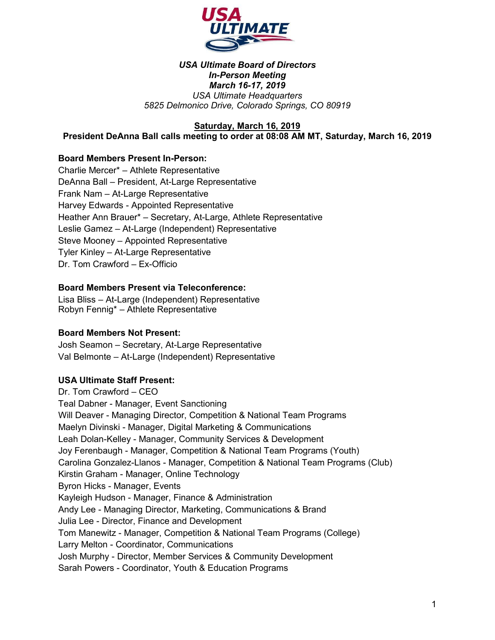

#### *USA Ultimate Board of Directors In-Person Meeting March 16-17, 2019 USA Ultimate Headquarters 5825 Delmonico Drive, Colorado Springs, CO 80919*

### **Saturday, March 16, 2019**

**President DeAnna Ball calls meeting to order at 08:08 AM MT, Saturday, March 16, 2019**

#### **Board Members Present In-Person:**

Charlie Mercer\* – Athlete Representative DeAnna Ball – President, At-Large Representative Frank Nam – At-Large Representative Harvey Edwards - Appointed Representative Heather Ann Brauer\* – Secretary, At-Large, Athlete Representative Leslie Gamez – At-Large (Independent) Representative Steve Mooney – Appointed Representative Tyler Kinley – At-Large Representative Dr. Tom Crawford – Ex-Officio

### **Board Members Present via Teleconference:**

Lisa Bliss – At-Large (Independent) Representative Robyn Fennig\* – Athlete Representative

#### **Board Members Not Present:**

Josh Seamon – Secretary, At-Large Representative Val Belmonte – At-Large (Independent) Representative

#### **USA Ultimate Staff Present:**

Dr. Tom Crawford – CEO Teal Dabner - Manager, Event Sanctioning Will Deaver - Managing Director, Competition & National Team Programs Maelyn Divinski - Manager, Digital Marketing & Communications Leah Dolan-Kelley - Manager, Community Services & Development Joy Ferenbaugh - Manager, Competition & National Team Programs (Youth) Carolina Gonzalez-Llanos - Manager, Competition & National Team Programs (Club) Kirstin Graham - Manager, Online Technology Byron Hicks - Manager, Events Kayleigh Hudson - Manager, Finance & Administration Andy Lee - Managing Director, Marketing, Communications & Brand Julia Lee - Director, Finance and Development Tom Manewitz - Manager, Competition & National Team Programs (College) Larry Melton - Coordinator, Communications Josh Murphy - Director, Member Services & Community Development Sarah Powers - Coordinator, Youth & Education Programs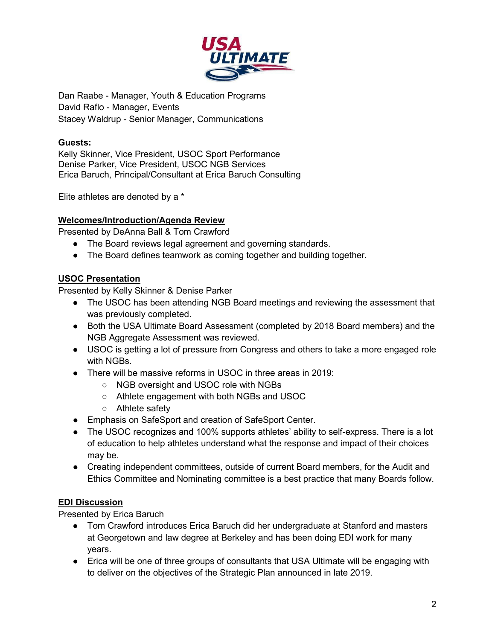

Dan Raabe - Manager, Youth & Education Programs David Raflo - Manager, Events Stacey Waldrup - Senior Manager, Communications

## **Guests:**

Kelly Skinner, Vice President, USOC Sport Performance Denise Parker, Vice President, USOC NGB Services Erica Baruch, Principal/Consultant at Erica Baruch Consulting

Elite athletes are denoted by a \*

### **Welcomes/Introduction/Agenda Review**

Presented by DeAnna Ball & Tom Crawford

- The Board reviews legal agreement and governing standards.
- The Board defines teamwork as coming together and building together.

# **USOC Presentation**

Presented by Kelly Skinner & Denise Parker

- The USOC has been attending NGB Board meetings and reviewing the assessment that was previously completed.
- Both the USA Ultimate Board Assessment (completed by 2018 Board members) and the NGB Aggregate Assessment was reviewed.
- USOC is getting a lot of pressure from Congress and others to take a more engaged role with NGBs.
- There will be massive reforms in USOC in three areas in 2019:
	- NGB oversight and USOC role with NGBs
	- Athlete engagement with both NGBs and USOC
	- Athlete safety
- Emphasis on SafeSport and creation of SafeSport Center.
- The USOC recognizes and 100% supports athletes' ability to self-express. There is a lot of education to help athletes understand what the response and impact of their choices may be.
- Creating independent committees, outside of current Board members, for the Audit and Ethics Committee and Nominating committee is a best practice that many Boards follow.

# **EDI Discussion**

Presented by Erica Baruch

- Tom Crawford introduces Erica Baruch did her undergraduate at Stanford and masters at Georgetown and law degree at Berkeley and has been doing EDI work for many years.
- Erica will be one of three groups of consultants that USA Ultimate will be engaging with to deliver on the objectives of the Strategic Plan announced in late 2019.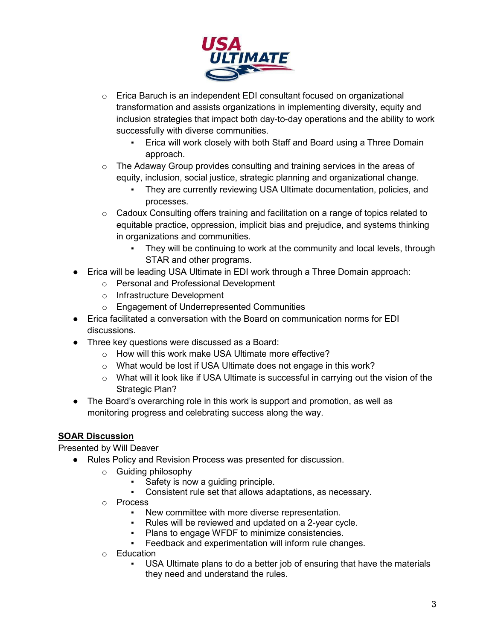

- o Erica Baruch is an independent EDI consultant focused on organizational transformation and assists organizations in implementing diversity, equity and inclusion strategies that impact both day-to-day operations and the ability to work successfully with diverse communities.
	- Erica will work closely with both Staff and Board using a Three Domain approach.
- $\circ$  The Adaway Group provides consulting and training services in the areas of equity, inclusion, social justice, strategic planning and organizational change.
	- They are currently reviewing USA Ultimate documentation, policies, and processes.
- $\circ$  Cadoux Consulting offers training and facilitation on a range of topics related to equitable practice, oppression, implicit bias and prejudice, and systems thinking in organizations and communities.
	- They will be continuing to work at the community and local levels, through STAR and other programs.
- Erica will be leading USA Ultimate in EDI work through a Three Domain approach:
	- o Personal and Professional Development
	- o Infrastructure Development
	- o Engagement of Underrepresented Communities
- Erica facilitated a conversation with the Board on communication norms for EDI discussions.
- Three key questions were discussed as a Board:
	- o How will this work make USA Ultimate more effective?
	- o What would be lost if USA Ultimate does not engage in this work?
	- o What will it look like if USA Ultimate is successful in carrying out the vision of the Strategic Plan?
- The Board's overarching role in this work is support and promotion, as well as monitoring progress and celebrating success along the way.

# **SOAR Discussion**

Presented by Will Deaver

- Rules Policy and Revision Process was presented for discussion.
	- o Guiding philosophy
		- Safety is now a quiding principle.
		- Consistent rule set that allows adaptations, as necessary.
	- o Process
		- New committee with more diverse representation.
		- Rules will be reviewed and updated on a 2-year cycle.
		- Plans to engage WFDF to minimize consistencies.
		- Feedback and experimentation will inform rule changes.
	- o Education
		- USA Ultimate plans to do a better job of ensuring that have the materials they need and understand the rules.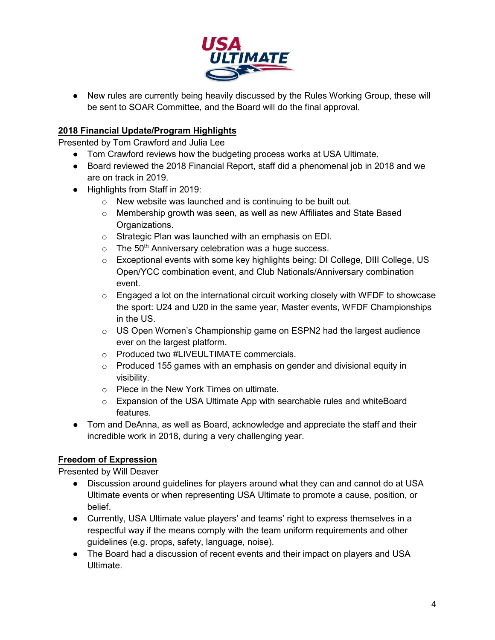

● New rules are currently being heavily discussed by the Rules Working Group, these will be sent to SOAR Committee, and the Board will do the final approval.

## **2018 Financial Update/Program Highlights**

Presented by Tom Crawford and Julia Lee

- Tom Crawford reviews how the budgeting process works at USA Ultimate.
- Board reviewed the 2018 Financial Report, staff did a phenomenal job in 2018 and we are on track in 2019.
- Highlights from Staff in 2019:
	- o New website was launched and is continuing to be built out.
	- o Membership growth was seen, as well as new Affiliates and State Based Organizations.
	- o Strategic Plan was launched with an emphasis on EDI.
	- $\circ$  The 50<sup>th</sup> Anniversary celebration was a huge success.
	- $\circ$  Exceptional events with some key highlights being: DI College, DIII College, US Open/YCC combination event, and Club Nationals/Anniversary combination event.
	- $\circ$  Engaged a lot on the international circuit working closely with WFDF to showcase the sport: U24 and U20 in the same year, Master events, WFDF Championships in the US.
	- $\circ$  US Open Women's Championship game on ESPN2 had the largest audience ever on the largest platform.
	- o Produced two #LIVEULTIMATE commercials.
	- $\circ$  Produced 155 games with an emphasis on gender and divisional equity in visibility.
	- o Piece in the New York Times on ultimate.
	- o Expansion of the USA Ultimate App with searchable rules and whiteBoard features.
- Tom and DeAnna, as well as Board, acknowledge and appreciate the staff and their incredible work in 2018, during a very challenging year.

# **Freedom of Expression**

Presented by Will Deaver

- Discussion around guidelines for players around what they can and cannot do at USA Ultimate events or when representing USA Ultimate to promote a cause, position, or belief.
- Currently, USA Ultimate value players' and teams' right to express themselves in a respectful way if the means comply with the team uniform requirements and other guidelines (e.g. props, safety, language, noise).
- The Board had a discussion of recent events and their impact on players and USA Ultimate.